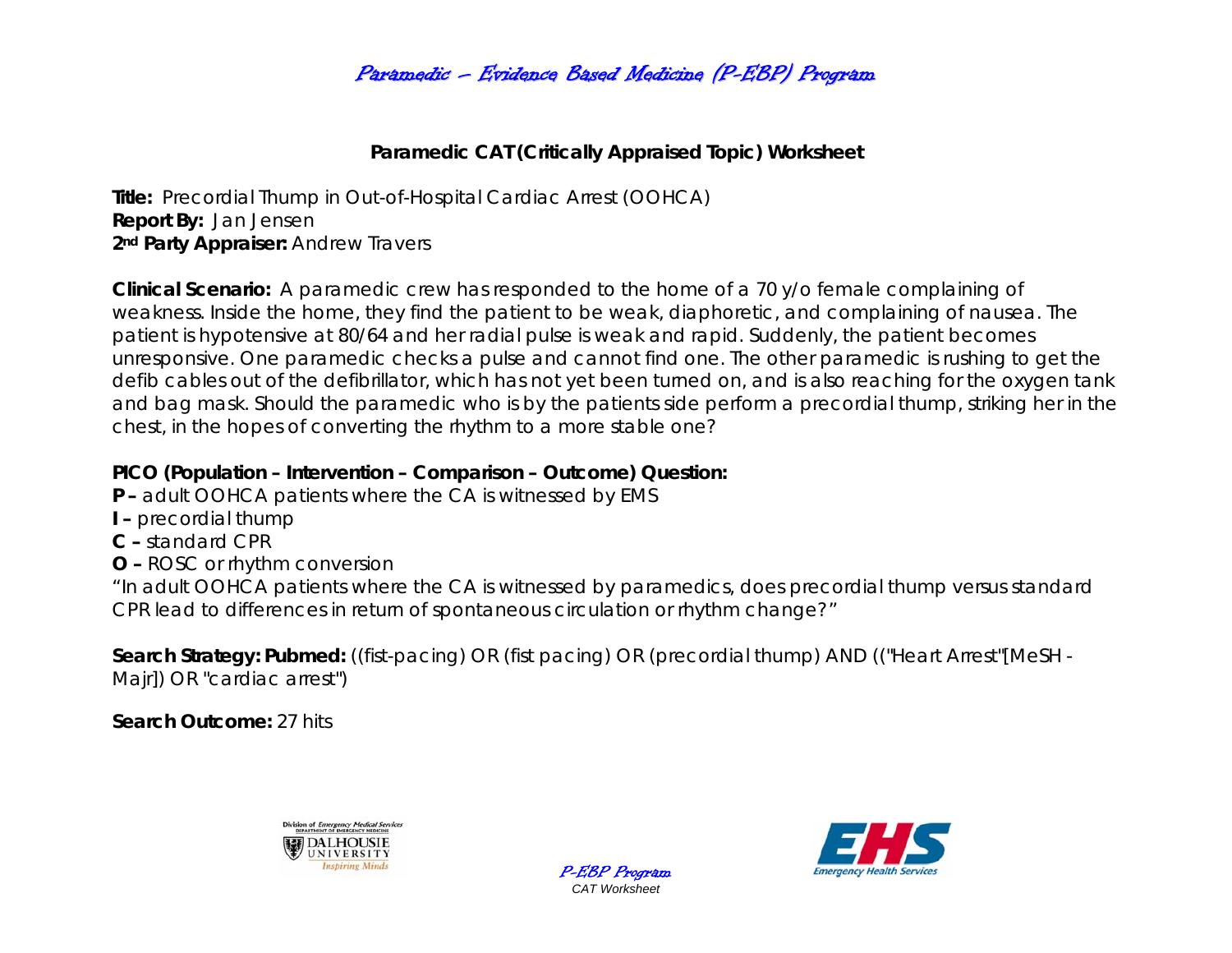# Paramedic – Evidence Based Medicine (P-EBP) Program

## **Paramedic CAT (Critically Appraised Topic) Worksheet**

**Title:** Precordial Thump in Out-of-Hospital Cardiac Arrest (OOHCA) **Report By:** Jan Jensen 2<sup>nd</sup> Party Appraiser: Andrew Travers

**Clinical Scenario:** A paramedic crew has responded to the home of a 70 y/o female complaining of weakness. Inside the home, they find the patient to be weak, diaphoretic, and complaining of nausea. The patient is hypotensive at 80/64 and her radial pulse is weak and rapid. Suddenly, the patient becomes unresponsive. One paramedic checks a pulse and cannot find one. The other paramedic is rushing to get the defib cables out of the defibrillator, which has not yet been turned on, and is also reaching for the oxygen tank and bag mask. Should the paramedic who is by the patients side perform a precordial thump, striking her in the chest, in the hopes of converting the rhythm to a more stable one?

### **PICO (Population – Intervention – Comparison – Outcome) Question:**

- **P** adult OOHCA patients where the CA is witnessed by EMS
- **I** precordial thump
- **C** standard CPR
- **O** ROSC or rhythm conversion

*"In adult OOHCA patients where the CA is witnessed by paramedics, does precordial thump versus standard CPR lead to differences in return of spontaneous circulation or rhythm change?"* 

> P-EBP Program *CAT Worksheet*

**Search Strategy: Pubmed:** ((fist-pacing) OR (fist pacing) OR (precordial thump) AND (("Heart Arrest"[MeSH - Majr]) OR "cardiac arrest")

**Search Outcome:** 27 hits



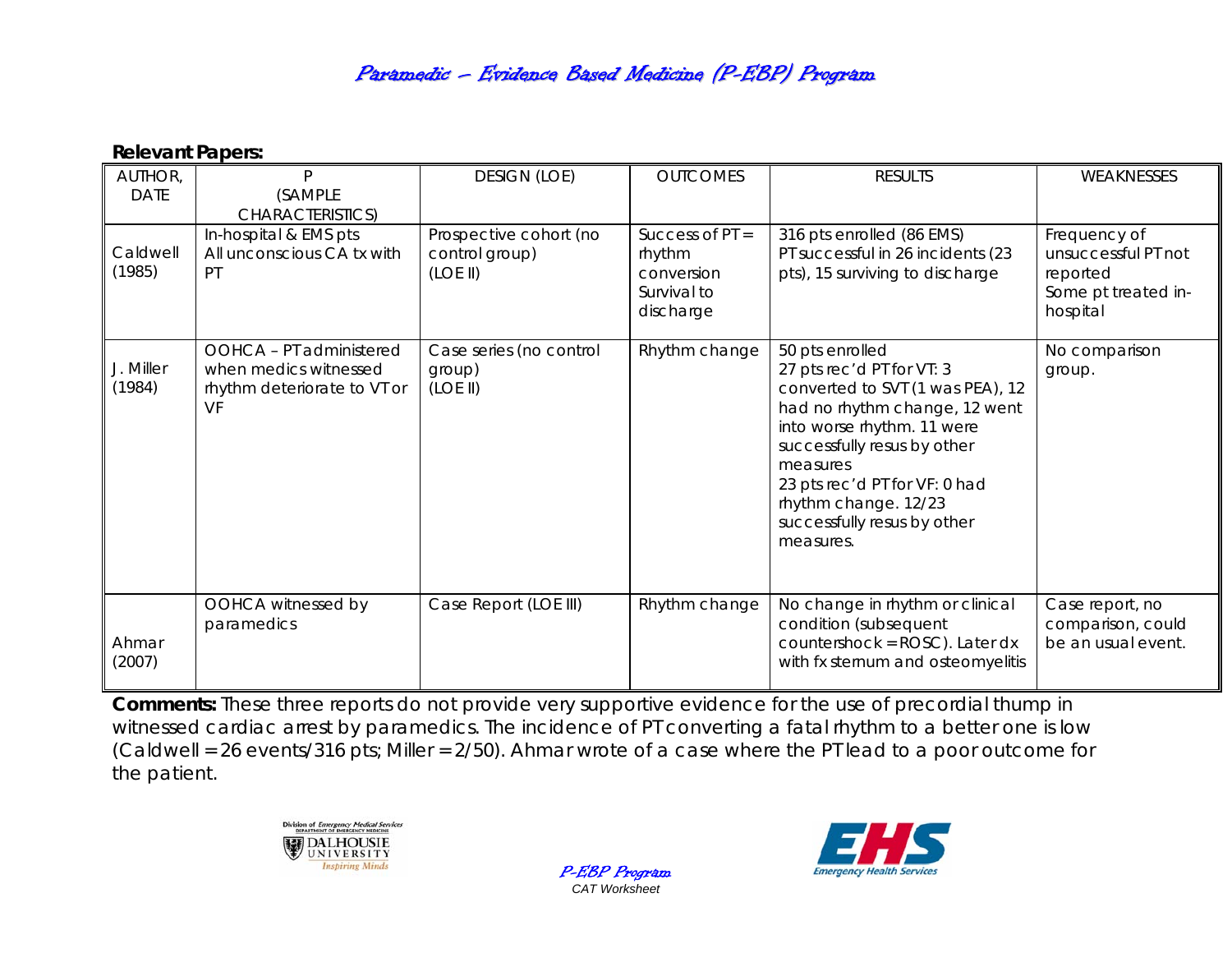# Paramedic – Evidence Based Medicine (P-EBP) Program

#### **Relevant Papers:**

| AUTHOR,<br><b>DATE</b> | P<br>(SAMPLE<br>CHARACTERISTICS)                                                      | <b>DESIGN (LOE)</b>                                  | <b>OUTCOMES</b>                                                       | <b>RESULTS</b>                                                                                                                                                                                                                                                                                  | WEAKNESSES                                                                         |
|------------------------|---------------------------------------------------------------------------------------|------------------------------------------------------|-----------------------------------------------------------------------|-------------------------------------------------------------------------------------------------------------------------------------------------------------------------------------------------------------------------------------------------------------------------------------------------|------------------------------------------------------------------------------------|
| Caldwell<br>(1985)     | In-hospital & EMS pts<br>All unconscious CA tx with<br>PT                             | Prospective cohort (no<br>control group)<br>(LOE II) | Success of $PT =$<br>rhythm<br>conversion<br>Survival to<br>discharge | 316 pts enrolled (86 EMS)<br>PT successful in 26 incidents (23<br>pts), 15 surviving to discharge                                                                                                                                                                                               | Frequency of<br>unsuccessful PT not<br>reported<br>Some pt treated in-<br>hospital |
| J. Miller<br>(1984)    | OOHCA - PT administered<br>when medics witnessed<br>rhythm deteriorate to VT or<br>VF | Case series (no control<br>group)<br>(LOE II)        | Rhythm change                                                         | 50 pts enrolled<br>27 pts rec'd PT for VT: 3<br>converted to SVT (1 was PEA), 12<br>had no rhythm change, 12 went<br>into worse rhythm. 11 were<br>successfully resus by other<br>measures<br>23 pts rec'd PT for VF: 0 had<br>rhythm change. 12/23<br>successfully resus by other<br>measures. | No comparison<br>group.                                                            |
| Ahmar<br>(2007)        | OOHCA witnessed by<br>paramedics                                                      | Case Report (LOE III)                                | Rhythm change                                                         | No change in rhythm or clinical<br>condition (subsequent<br>countershock = ROSC). Later dx<br>with fx sternum and osteomyelitis                                                                                                                                                                 | Case report, no<br>comparison, could<br>be an usual event.                         |

**Comments:** These three reports do not provide very supportive evidence for the use of precordial thump in witnessed cardiac arrest by paramedics. The incidence of PT converting a fatal rhythm to a better one is low (Caldwell = 26 events/316 pts; Miller = 2/50). Ahmar wrote of a case where the PT lead to a poor outcome for the patient.

> P-EBP Program *CAT Worksheet*